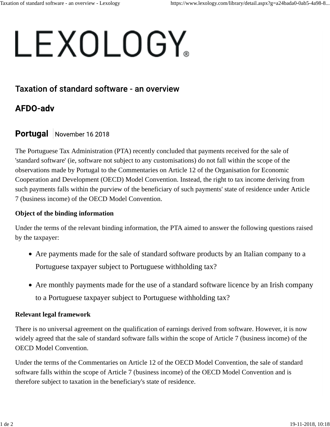# LEXOLOGY

## Taxation of standard software - an overview

# **AFDO-adv**

## Portugal November 16 2018

The Portuguese Tax Administration (PTA) recently concluded that payments received for the sale of 'standard software' (ie, software not subject to any customisations) do not fall within the scope of the observations made by Portugal to the Commentaries on Article 12 of the Organisation for Economic Cooperation and Development (OECD) Model Convention. Instead, the right to tax income deriving from such payments falls within the purview of the beneficiary of such payments' state of residence under Article 7 (business income) of the OECD Model Convention.

## **Object of the binding information**

Under the terms of the relevant binding information, the PTA aimed to answer the following questions raised by the taxpayer:

- Are payments made for the sale of standard software products by an Italian company to a Portuguese taxpayer subject to Portuguese withholding tax?
- Are monthly payments made for the use of a standard software licence by an Irish company to a Portuguese taxpayer subject to Portuguese withholding tax?

### **Relevant legal framework**

There is no universal agreement on the qualification of earnings derived from software. However, it is now widely agreed that the sale of standard software falls within the scope of Article 7 (business income) of the OECD Model Convention.

Under the terms of the Commentaries on Article 12 of the OECD Model Convention, the sale of standard software falls within the scope of Article 7 (business income) of the OECD Model Convention and is therefore subject to taxation in the beneficiary's state of residence.